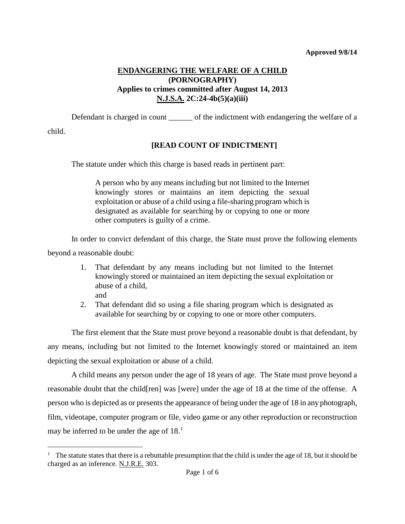# **ENDANGERING THE WELFARE OF A CHILD (PORNOGRAPHY) Applies to crimes committed after August 14, 2013 N.J.S.A. 2C:24-4b(5)(a)(iii)**

Defendant is charged in count of the indictment with endangering the welfare of a

child.

# **[READ COUNT OF INDICTMENT]**

The statute under which this charge is based reads in pertinent part:

A person who by any means including but not limited to the Internet knowingly stores or maintains an item depicting the sexual exploitation or abuse of a child using a file-sharing program which is designated as available for searching by or copying to one or more other computers is guilty of a crime.

In order to convict defendant of this charge, the State must prove the following elements beyond a reasonable doubt:

- 1. That defendant by any means including but not limited to the Internet knowingly stored or maintained an item depicting the sexual exploitation or abuse of a child,
	- and
- 2. That defendant did so using a file sharing program which is designated as available for searching by or copying to one or more other computers.

The first element that the State must prove beyond a reasonable doubt is that defendant, by any means, including but not limited to the Internet knowingly stored or maintained an item depicting the sexual exploitation or abuse of a child.

A child means any person under the age of 18 years of age. The State must prove beyond a reasonable doubt that the child[ren] was [were] under the age of 18 at the time of the offense. A person who is depicted as or presents the appearance of being under the age of 18 in any photograph, film, videotape, computer program or file, video game or any other reproduction or reconstruction may be inferred to be under the age of  $18<sup>1</sup>$  $18<sup>1</sup>$ .

<span id="page-0-0"></span><sup>&</sup>lt;sup>1</sup> The statute states that there is a rebuttable presumption that the child is under the age of 18, but it should be charged as an inference. N.J.R.E. 303. Ĩ.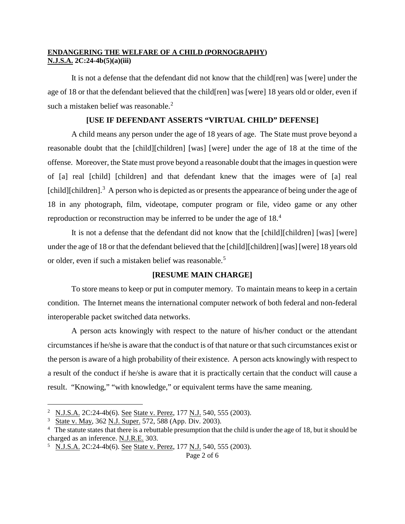It is not a defense that the defendant did not know that the child[ren] was [were] under the age of 18 or that the defendant believed that the child[ren] was [were] 18 years old or older, even if such a mistaken belief was reasonable.<sup>[2](#page-1-0)</sup>

### **[USE IF DEFENDANT ASSERTS "VIRTUAL CHILD" DEFENSE]**

A child means any person under the age of 18 years of age. The State must prove beyond a reasonable doubt that the [child][children] [was] [were] under the age of 18 at the time of the offense. Moreover, the State must prove beyond a reasonable doubt that the images in question were of [a] real [child] [children] and that defendant knew that the images were of [a] real [child][children].<sup>[3](#page-1-1)</sup> A person who is depicted as or presents the appearance of being under the age of 18 in any photograph, film, videotape, computer program or file, video game or any other reproduction or reconstruction may be inferred to be under the age of 18.[4](#page-1-2)

It is not a defense that the defendant did not know that the [child][children] [was] [were] under the age of 18 or that the defendant believed that the [child][children] [was] [were] 18 years old or older, even if such a mistaken belief was reasonable.<sup>[5](#page-1-3)</sup>

### **[RESUME MAIN CHARGE]**

To store means to keep or put in computer memory. To maintain means to keep in a certain condition. The Internet means the international computer network of both federal and non-federal interoperable packet switched data networks.

A person acts knowingly with respect to the nature of his/her conduct or the attendant circumstances if he/she is aware that the conduct is of that nature or that such circumstances exist or the person is aware of a high probability of their existence. A person acts knowingly with respect to a result of the conduct if he/she is aware that it is practically certain that the conduct will cause a result. "Knowing," "with knowledge," or equivalent terms have the same meaning.

<span id="page-1-0"></span><sup>&</sup>lt;sup>2</sup> N.J.S.A. 2C:24-4b(6). See State v. Perez, 177 N.J. 540, 555 (2003). Ĩ.

<span id="page-1-1"></span><sup>&</sup>lt;sup>3</sup> State v. May, 362 N.J. Super. 572, 588 (App. Div. 2003).

<span id="page-1-2"></span><sup>&</sup>lt;sup>4</sup> The statute states that there is a rebuttable presumption that the child is under the age of 18, but it should be charged as an inference. N.J.R.E. 303.

<span id="page-1-3"></span><sup>&</sup>lt;sup>5</sup> N.J.S.A. 2C:24-4b(6). See State v. Perez, 177 N.J. 540, 555 (2003).

Page 2 of 6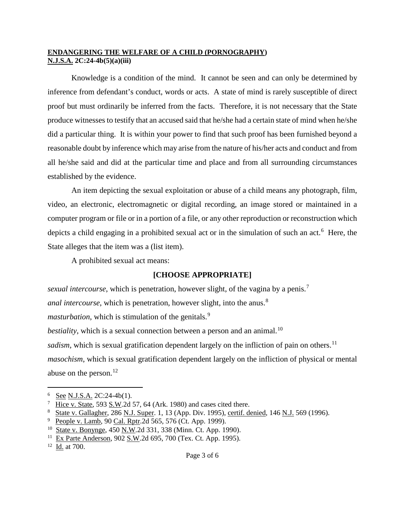Knowledge is a condition of the mind. It cannot be seen and can only be determined by inference from defendant's conduct, words or acts. A state of mind is rarely susceptible of direct proof but must ordinarily be inferred from the facts. Therefore, it is not necessary that the State produce witnesses to testify that an accused said that he/she had a certain state of mind when he/she did a particular thing. It is within your power to find that such proof has been furnished beyond a reasonable doubt by inference which may arise from the nature of his/her acts and conduct and from all he/she said and did at the particular time and place and from all surrounding circumstances established by the evidence.

An item depicting the sexual exploitation or abuse of a child means any photograph, film, video, an electronic, electromagnetic or digital recording, an image stored or maintained in a computer program or file or in a portion of a file, or any other reproduction or reconstruction which depicts a child engaging in a prohibited sexual act or in the simulation of such an act.<sup>[6](#page-2-0)</sup> Here, the State alleges that the item was a (list item).

A prohibited sexual act means:

# **[CHOOSE APPROPRIATE]**

*sexual intercourse*, which is penetration, however slight, of the vagina by a penis.<sup>[7](#page-2-1)</sup>

*anal intercourse*, which is penetration, however slight, into the anus.<sup>[8](#page-2-2)</sup>

*masturbation*, which is stimulation of the genitals.<sup>[9](#page-2-3)</sup>

*bestiality*, which is a sexual connection between a person and an animal.<sup>10</sup>

*sadism*, which is sexual gratification dependent largely on the infliction of pain on others.<sup>[11](#page-2-5)</sup>

*masochism*, which is sexual gratification dependent largely on the infliction of physical or mental abuse on the person. $^{12}$  $^{12}$  $^{12}$ 

<span id="page-2-0"></span><sup>6</sup> See N.J.S.A. 2C:24-4b(1). Ĩ.

<span id="page-2-1"></span><sup>7</sup> Hice v. State, 593 S.W.2d 57, 64 (Ark. 1980) and cases cited there.

<span id="page-2-2"></span><sup>8</sup> State v. Gallagher, 286 N.J. Super. 1, 13 (App. Div. 1995), certif. denied, 146 N.J. 569 (1996).

<span id="page-2-3"></span><sup>&</sup>lt;sup>9</sup> People v. Lamb, 90 Cal. Rptr.2d 565, 576 (Ct. App. 1999).

<span id="page-2-4"></span><sup>10</sup> State v. Bonynge, 450 N.W.2d 331, 338 (Minn. Ct. App. 1990).

<span id="page-2-5"></span><sup>11</sup> Ex Parte Anderson, 902 S.W.2d 695, 700 (Tex. Ct. App. 1995).

<span id="page-2-6"></span><sup>12</sup> Id. at 700.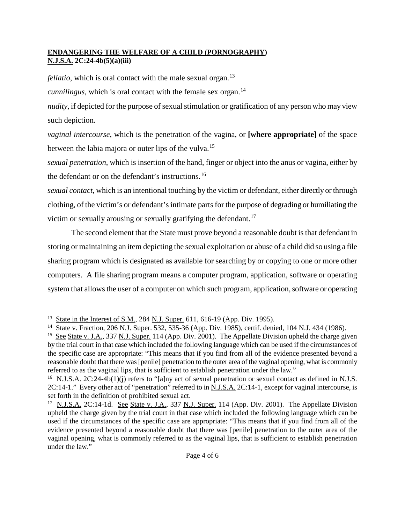*fellatio*, which is oral contact with the male sexual organ.<sup>[13](#page-3-0)</sup>

*cunnilingus*, which is oral contact with the female sex organ.<sup>[14](#page-3-1)</sup>

*nudity*, if depicted for the purpose of sexual stimulation or gratification of any person who may view such depiction.

*vaginal intercourse*, which is the penetration of the vagina, or **[where appropriate]** of the space between the labia majora or outer lips of the vulva.<sup>[15](#page-3-2)</sup>

*sexual penetration*, which is insertion of the hand, finger or object into the anus or vagina, either by the defendant or on the defendant's instructions.[16](#page-3-3)

*sexual contact*, which is an intentional touching by the victim or defendant, either directly or through clothing, of the victim's or defendant's intimate parts for the purpose of degrading or humiliating the victim or sexually arousing or sexually gratifying the defendant.<sup>[17](#page-3-4)</sup>

The second element that the State must prove beyond a reasonable doubt is that defendant in storing or maintaining an item depicting the sexual exploitation or abuse of a child did so using a file sharing program which is designated as available for searching by or copying to one or more other computers. A file sharing program means a computer program, application, software or operating system that allows the user of a computer on which such program, application, software or operating

<span id="page-3-0"></span><sup>&</sup>lt;sup>13</sup> State in the Interest of S.M., 284 N.J. Super. 611, 616-19 (App. Div. 1995). Ĩ.

<span id="page-3-1"></span><sup>14</sup> State v. Fraction, 206 N.J. Super. 532, 535-36 (App. Div. 1985), certif. denied, 104 N.J. 434 (1986).

<span id="page-3-2"></span><sup>&</sup>lt;sup>15</sup> See State v. J.A., 337 N.J. Super. 114 (App. Div. 2001). The Appellate Division upheld the charge given by the trial court in that case which included the following language which can be used if the circumstances of the specific case are appropriate: "This means that if you find from all of the evidence presented beyond a reasonable doubt that there was [penile] penetration to the outer area of the vaginal opening, what is commonly referred to as the vaginal lips, that is sufficient to establish penetration under the law."

<span id="page-3-3"></span><sup>&</sup>lt;sup>16</sup> N.J.S.A. 2C:24-4b(1)(j) refers to "[a]ny act of sexual penetration or sexual contact as defined in N.J.S. 2C:14-1." Every other act of "penetration" referred to in N.J.S.A. 2C:14-1, except for vaginal intercourse, is set forth in the definition of prohibited sexual act.

<span id="page-3-4"></span><sup>&</sup>lt;sup>17</sup> N.J.S.A. 2C:14-1d. See State v. J.A., 337 N.J. Super. 114 (App. Div. 2001). The Appellate Division upheld the charge given by the trial court in that case which included the following language which can be used if the circumstances of the specific case are appropriate: "This means that if you find from all of the evidence presented beyond a reasonable doubt that there was [penile] penetration to the outer area of the vaginal opening, what is commonly referred to as the vaginal lips, that is sufficient to establish penetration under the law."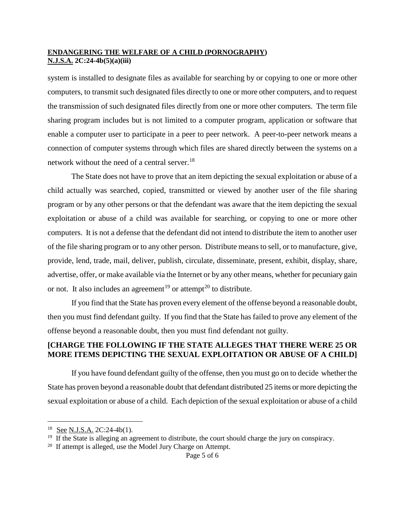system is installed to designate files as available for searching by or copying to one or more other computers, to transmit such designated files directly to one or more other computers, and to request the transmission of such designated files directly from one or more other computers. The term file sharing program includes but is not limited to a computer program, application or software that enable a computer user to participate in a peer to peer network. A peer-to-peer network means a connection of computer systems through which files are shared directly between the systems on a network without the need of a central server.<sup>[18](#page-4-0)</sup>

The State does not have to prove that an item depicting the sexual exploitation or abuse of a child actually was searched, copied, transmitted or viewed by another user of the file sharing program or by any other persons or that the defendant was aware that the item depicting the sexual exploitation or abuse of a child was available for searching, or copying to one or more other computers. It is not a defense that the defendant did not intend to distribute the item to another user of the file sharing program or to any other person. Distribute means to sell, or to manufacture, give, provide, lend, trade, mail, deliver, publish, circulate, disseminate, present, exhibit, display, share, advertise, offer, or make available via the Internet or by any other means, whether for pecuniary gain or not. It also includes an agreement<sup>[19](#page-4-1)</sup> or attempt<sup>[20](#page-4-2)</sup> to distribute.

If you find that the State has proven every element of the offense beyond a reasonable doubt, then you must find defendant guilty. If you find that the State has failed to prove any element of the offense beyond a reasonable doubt, then you must find defendant not guilty.

## **[CHARGE THE FOLLOWING IF THE STATE ALLEGES THAT THERE WERE 25 OR MORE ITEMS DEPICTING THE SEXUAL EXPLOITATION OR ABUSE OF A CHILD]**

If you have found defendant guilty of the offense, then you must go on to decide whether the State has proven beyond a reasonable doubt that defendant distributed 25 items or more depicting the sexual exploitation or abuse of a child. Each depiction of the sexual exploitation or abuse of a child

 $^{18}$  See N.J.S.A. 2C:24-4b(1). Ĩ.

<span id="page-4-1"></span><span id="page-4-0"></span><sup>&</sup>lt;sup>19</sup> If the State is alleging an agreement to distribute, the court should charge the jury on conspiracy.

<span id="page-4-2"></span><sup>&</sup>lt;sup>20</sup> If attempt is alleged, use the Model Jury Charge on Attempt.